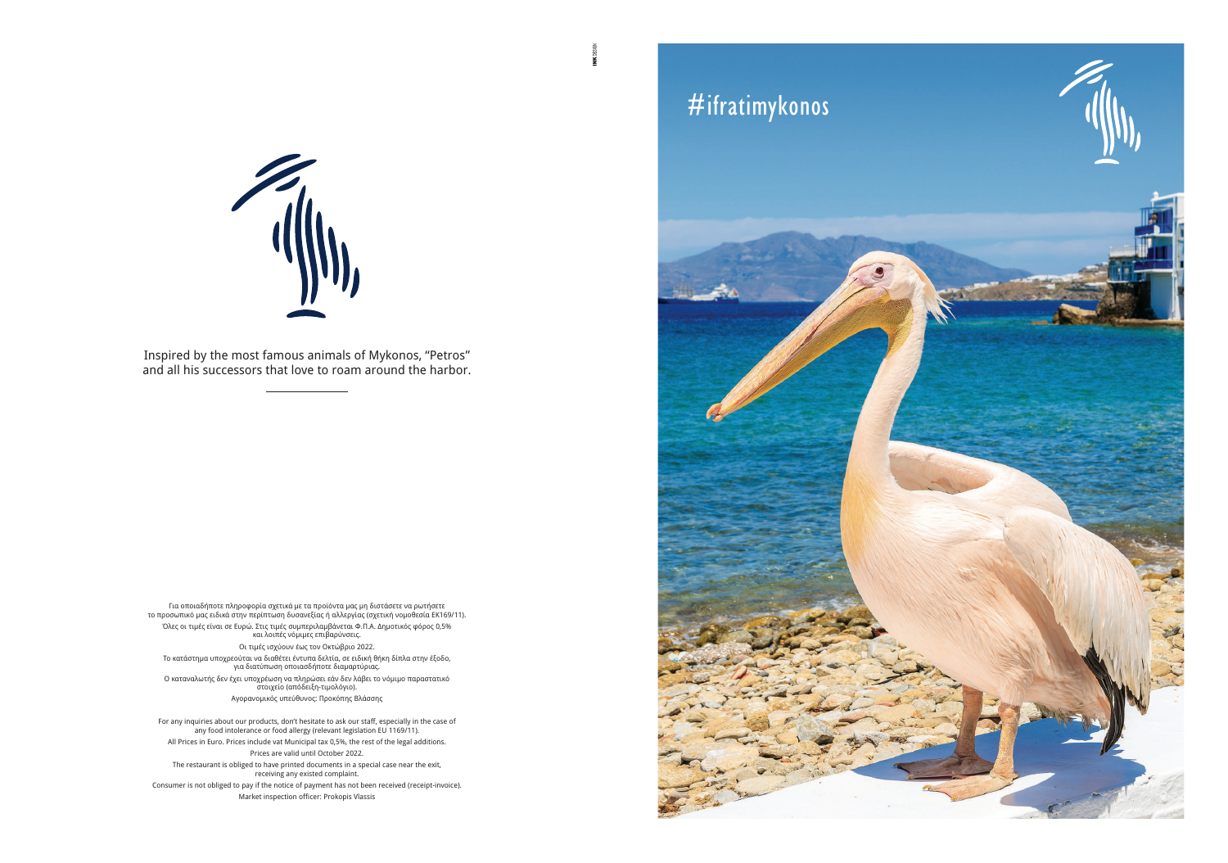Για οποιαδήποτε πληροφορία σχετικά με τα προϊόντα μας μη διστάσετε να ρωτήσετε το προσωπικό μας ειδικά στην περίπτωση δυσανεξίας ή αλλεργίας (σχετική νομοθεσία ΕΚ169/11). Όλες οι τιμές είναι σε Ευρώ. Στις τιμές συμπεριλαμβάνεται Φ.Π.Α. Δημοτικός φόρος 0,5% και λοιπές νόμιμες επιβαρύνσεις. Οι τιμές ισχύουν έως τον Οκτώβριο 2022. Tο κατάστημα υποχρεούται να διαθέτει έντυπα δελτία, σε ειδική θήκη δίπλα στην έξοδο, για διατύπωση οποιασδήποτε διαμαρτύριας. Ο καταναλωτής δεν έχει υποχρέωση να πληρώσει εάν δεν λάβει το νόμιμο παραστατικό στοιχείο (απόδειξη-τιμολόγιο). Aγορανομικός υπεύθυνος: Προκόπης Βλάσσης

Consumer is not obliged to pay if the notice of payment has not been received (receipt-invoice). Market inspection officer: Prokopis Vlassis

For any inquiries about our products, don't hesitate to ask our staff, especially in the case of any food intolerance or food allergy (relevant legislation EU 1169/11). All Prices in Euro. Prices include vat Μunicipal tax 0,5%, the rest of the legal additions. Prices are valid until October 2022.

The restaurant is obliged to have printed documents in a special case near the exit, receiving any existed complaint.



Inspired by the most famous animals of Mykonos, "Petros" and all his successors that love to roam around the harbor.

# #ifratimykonos

E

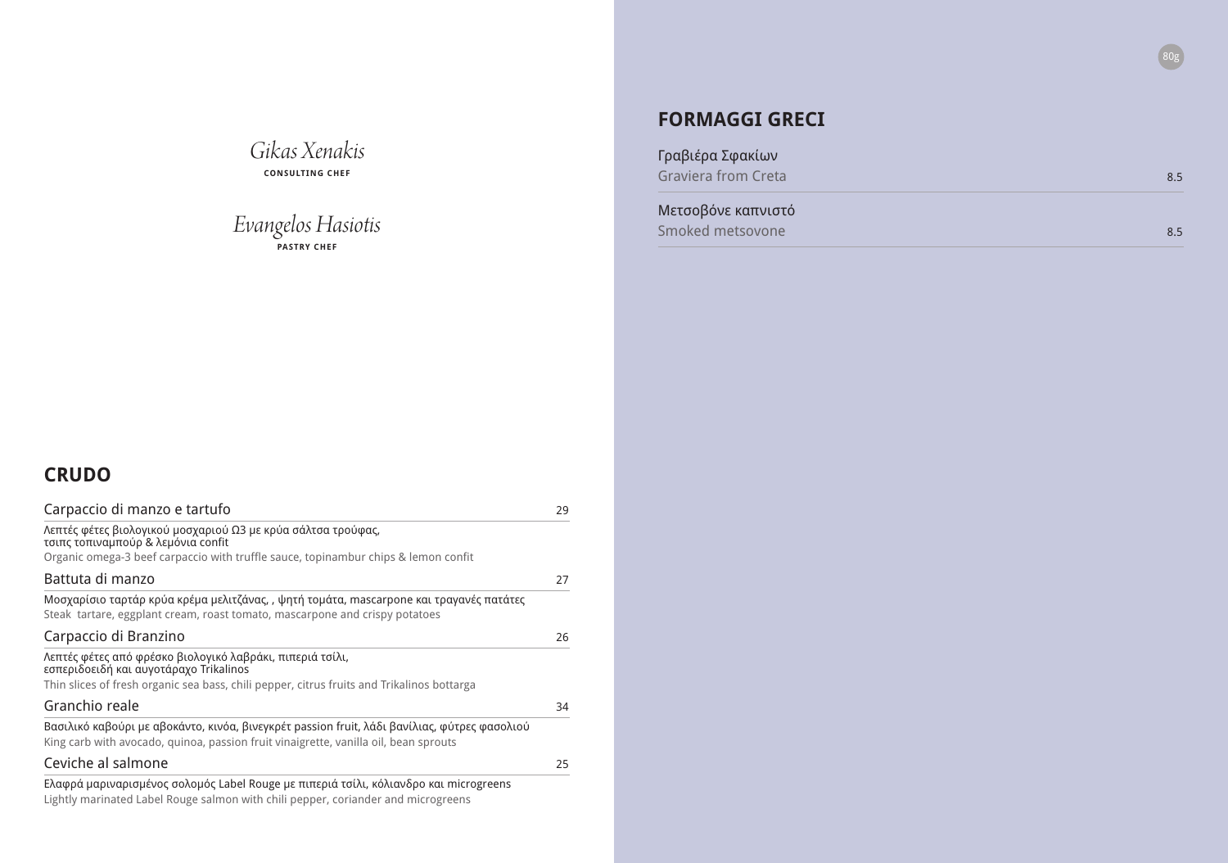### **CRUDO**

| Carpaccio di manzo e tartufo                                                                                                                                                                      | 29 |
|---------------------------------------------------------------------------------------------------------------------------------------------------------------------------------------------------|----|
| Λεπτές φέτες βιολογικού μοσχαριού Ω3 με κρύα σάλτσα τρούφας,<br>τσιπς τοπιναμπούρ & λεμόνια confit<br>Organic omega-3 beef carpaccio with truffle sauce, topinambur chips & lemon confit          |    |
| Battuta di manzo                                                                                                                                                                                  | 27 |
| Μοσχαρίσιο ταρτάρ κρύα κρέμα μελιτζάνας, , ψητή τομάτα, mascarpone και τραγανές πατάτες<br>Steak tartare, eggplant cream, roast tomato, mascarpone and crispy potatoes                            |    |
| Carpaccio di Branzino                                                                                                                                                                             | 26 |
| Λεπτές φέτες από φρέσκο βιολογικό λαβράκι, πιπεριά τσίλι,<br>εσπεριδοειδή και αυγοτάραχο Trikalinos<br>Thin slices of fresh organic sea bass, chili pepper, citrus fruits and Trikalinos bottarga |    |
| Granchio reale                                                                                                                                                                                    | 34 |
| Βασιλικό καβούρι με αβοκάντο, κινόα, βινεγκρέτ passion fruit, λάδι βανίλιας, φύτρες φασολιού<br>King carb with avocado, quinoa, passion fruit vinaigrette, vanilla oil, bean sprouts              |    |
| Ceviche al salmone                                                                                                                                                                                | 25 |
| Ελαφρά μαριναρισμένος σολομός Label Rouge με πιπεριά τσίλι, κόλιανδρο και microgreens<br>Lightly marinated Label Rouge salmon with chili pepper, coriander and microgreens                        |    |

Γραβιέρα Σφακίων Graviera from Creta

# *Gikas Xenakis*

**CONSULTING CHEF**

### *Evangelos Hasiotis* **PASTRY CHEF**

### **FORMAGGI GRECI**

### Μετσοβόνε καπνιστό

Smoked metsovone



| 8.5 |
|-----|
|     |
| 8.5 |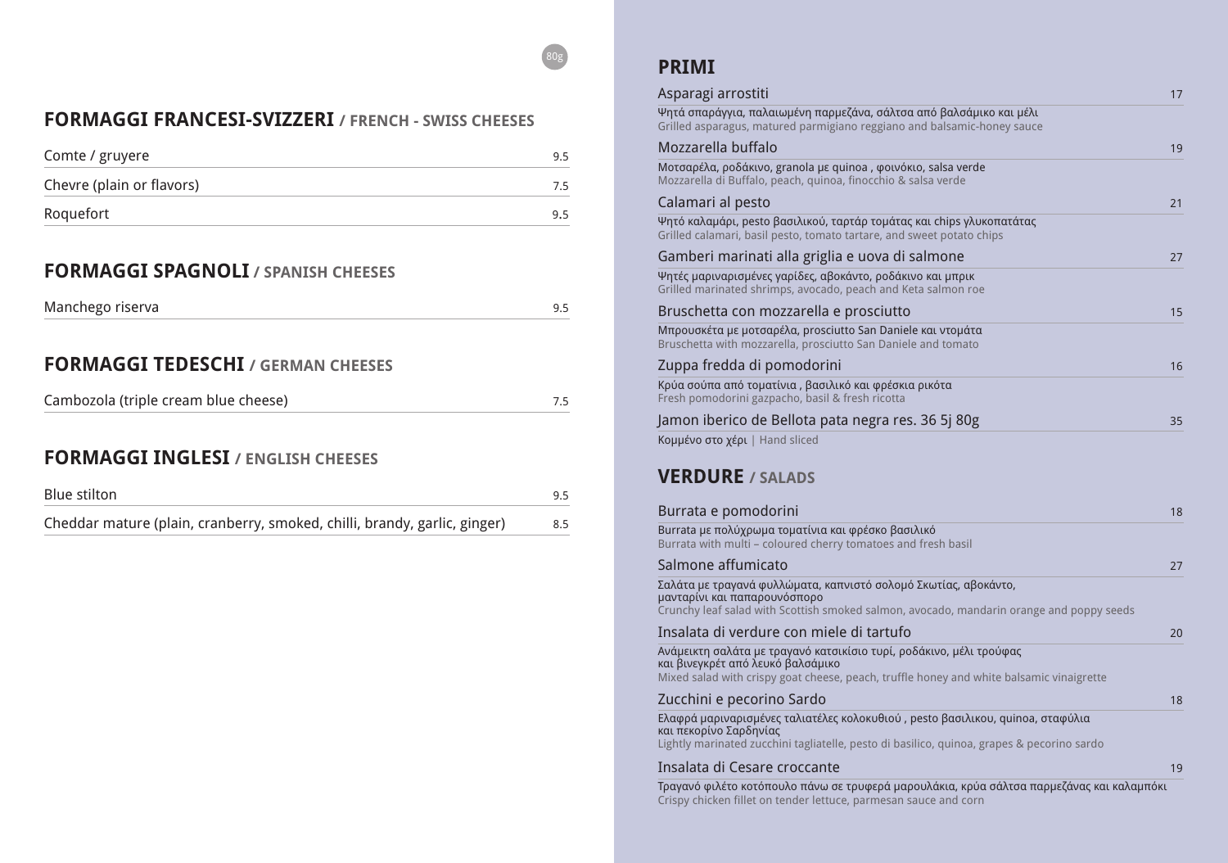### **FORMAGGI FRANCESI-SVIZZERI / FRENCH - SWISS CHEESES**

| Comte / gruyere           | -95 |
|---------------------------|-----|
| Chevre (plain or flavors) | 75  |
| Roquefort                 | 9.5 |

### **FORMAGGI SPAGNOLI / SPANISH CHEESES**

### **FORMAGGI TEDESCHI / GERMAN CHEESES**

| Cambozola (triple cream blue cheese) |  |
|--------------------------------------|--|
|--------------------------------------|--|

### **FORMAGGI INGLESI / ENGLISH CHEESES**

| Blue stilton                                                              |     |
|---------------------------------------------------------------------------|-----|
| Cheddar mature (plain, cranberry, smoked, chilli, brandy, garlic, ginger) | 8.5 |

80g

#### Asparagi arrostiti 17 km kuning tahun 17 km kuning tahun 17 km kuning tahun 17 km kuning tahun 17 km kuning ta

Ψητά σπαράγγια, παλαιωμένη παρμεζάνα, σάλτσα απ Grilled asparagus, matured parmigiano reggiano and

#### Mozzarella buffalo

Μοτσαρέλα, ροδάκινο, granola με quinoa, φοινόκιο, Mozzarella di Buffalo, peach, quinoa, finocchio & sals

#### Calamari al pesto

## **PRIMI**

Ψητό καλαμάρι, pesto βασιλικού, ταρτάρ τομάτας και Grilled calamari, basil pesto, tomato tartare, and swe

### Gamberi marinati alla griglia e uova di sal

Ψητές μαριναρισμένες γαρίδες, αβοκάντο, ροδάκινο Grilled marinated shrimps, avocado, peach and Keta

Κρύα σούπα από τοματίνια, βασιλικό και φρέσκια ρι Fresh pomodorini gazpacho, basil & fresh ricotta

## Jamon iberico de Bellota pata negra res. 3

Burrata με πολύχρωμα τοματίνια και φρέσκο βασιλικό Burrata with multi – coloured cherry tomatoes and fr

### Salmone affumicato

Σαλάτα με τραγανά φυλλώματα, καπνιστό σολομό Σκ μανταρίνι και παπαρουνόσπορο Crunchy leaf salad with Scottish smoked salmon, avoe

#### Insalata di verdure con miele di tartufo

Ανάμεικτη σαλάτα με τραγανό κατσικίσιο τυρί, ροδάκινο, μέλι τρούφας και βινεγκρέτ από λευκό βαλσάμικο Mixed salad with crispy goat cheese, peach, truffle ho

### Zucchini e pecorino Sardo

Ελαφρά μαριναρισμένες ταλιατέλες κολοκυθιού, pest και πεκορίνο Σαρδηνίας Lightly marinated zucchini tagliatelle, pesto di basilico

### Insalata di Cesare croccante

Τραγανό φιλέτο κοτόπουλο πάνω σε τρυφερά μαρουλ Crispy chicken fillet on tender lettuce, parmesan sauce and corn

| ιό βαλσάμικο και μέλι                       |                |
|---------------------------------------------|----------------|
| balsamic-honey sauce                        |                |
| salsa verde                                 | 1 <sup>c</sup> |
| a verde                                     |                |
|                                             | 21             |
| ι chips γλυκοπατάτας                        |                |
| et potato chips                             |                |
| mone                                        | 27             |
| και μπρικ<br>salmon roe                     |                |
|                                             | 15             |
| αι ντομάτα                                  |                |
| าd tomato                                   |                |
|                                             | 16             |
| κότα                                        |                |
| 6 5j 80g                                    | 35             |
|                                             |                |
|                                             |                |
|                                             |                |
|                                             | 18             |
| Ó                                           |                |
| esh basil                                   |                |
|                                             | 27             |
| ωτίας, αβοκάντο,                            |                |
| cado, mandarin orange and poppy seeds       |                |
|                                             | 2 <sub>C</sub> |
| ανο, μέλι τρούφας                           |                |
| ney and white balsamic vinaigrette          |                |
|                                             | 18             |
| to βασιλικου, quinoa, σταφύλια              |                |
| o, quinoa, grapes & pecorino sardo          |                |
|                                             | 1 <sup>c</sup> |
| λάκια, κρύα σάλτσα παρμεζάνας και καλαμπόκι |                |
|                                             |                |

#### Bruschetta con mozzarella e prosciutto 15

Μπρουσκέτα με μοτσαρέλα, prosciutto San Daniele και Bruschetta with mozzarella, prosciutto San Daniele and

### Zuppa fredda di pomodorini 16

Κομμένο στο χέρι | Hand sliced

### **VERDURE / SALADS**

### Burrata e pomodorini 18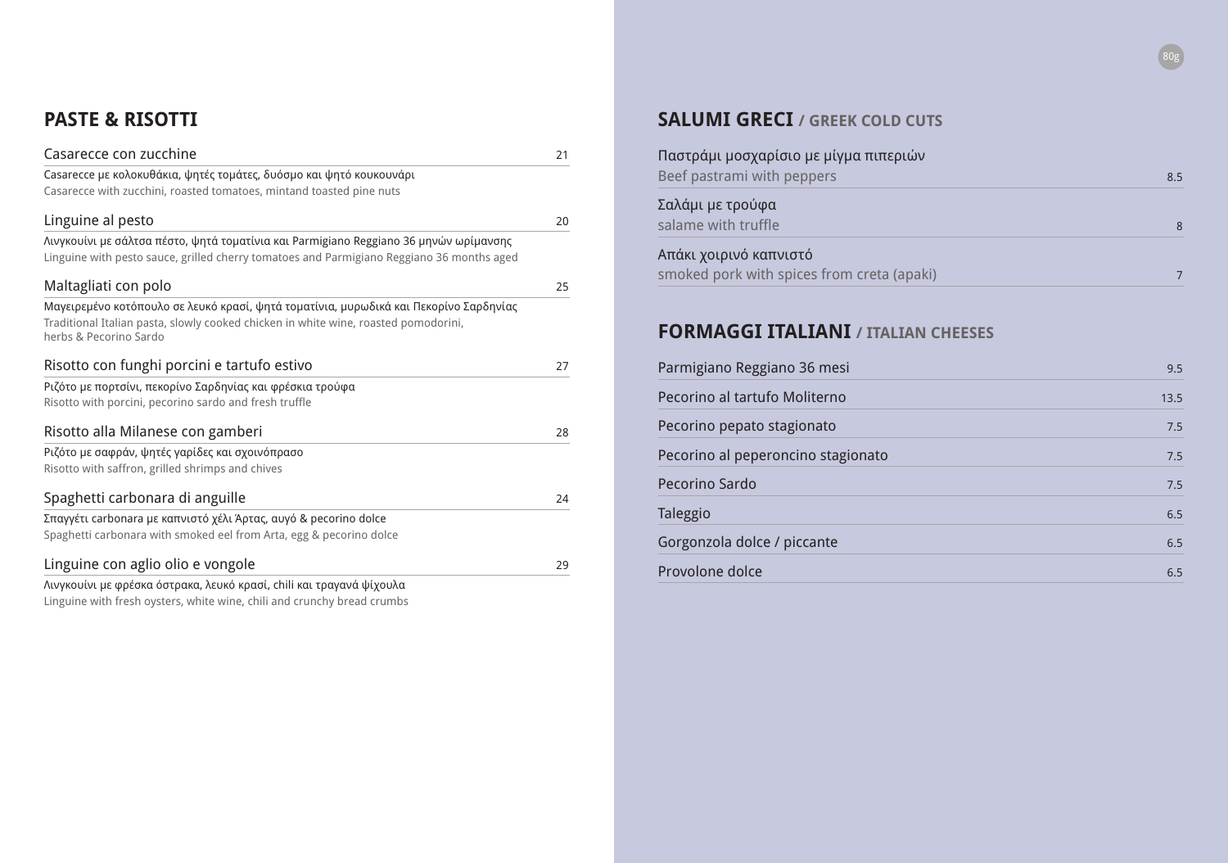## **PASTE & RISOTTI**

| Casarecce con zucchine                                                                                        | 21 |
|---------------------------------------------------------------------------------------------------------------|----|
| Casarecce με κολοκυθάκια, ψητές τομάτες, δυόσμο και ψητό κουκουνάρι                                           |    |
| Casarecce with zucchini, roasted tomatoes, mintand toasted pine nuts                                          |    |
| Linguine al pesto                                                                                             | 20 |
| Λινγκουίνι με σάλτσα πέστο, ψητά τοματίνια και Parmigiano Reggiano 36 μηνών ωρίμανσης                         |    |
| Linguine with pesto sauce, grilled cherry tomatoes and Parmigiano Reggiano 36 months aged                     |    |
| Maltagliati con polo                                                                                          | 25 |
| Μαγειρεμένο κοτόπουλο σε λευκό κρασί, ψητά τοματίνια, μυρωδικά και Πεκορίνο Σαρδηνίας                         |    |
| Traditional Italian pasta, slowly cooked chicken in white wine, roasted pomodorini,<br>herbs & Pecorino Sardo |    |
| Risotto con funghi porcini e tartufo estivo                                                                   | 27 |
| Ριζότο με πορτσίνι, πεκορίνο Σαρδηνίας και φρέσκια τρούφα                                                     |    |
| Risotto with porcini, pecorino sardo and fresh truffle                                                        |    |
| Risotto alla Milanese con gamberi                                                                             | 28 |
| Ριζότο με σαφράν, ψητές γαρίδες και σχοινόπρασο                                                               |    |
| Risotto with saffron, grilled shrimps and chives                                                              |    |
| Spaghetti carbonara di anguille                                                                               | 24 |
| Σπαγγέτι carbonara με καπνιστό χέλι Άρτας, αυγό & pecorino dolce                                              |    |
| Spaghetti carbonara with smoked eel from Arta, egg & pecorino dolce                                           |    |
| Linguine con aglio olio e vongole                                                                             | 29 |
| Λινγκουίνι με φρέσκα όστρακα, λευκό κρασί, chili και τραγανά ψίχουλα                                          |    |

| Παστράμι μοσχαρίσιο με μίγμα πιπεριών |  |
|---------------------------------------|--|
| Beef pastrami with peppers            |  |

Σαλάμι με τρούφα salame with truffle

| Parmigiano Reggiano 36 mesi        | 9.5  |
|------------------------------------|------|
| Pecorino al tartufo Moliterno      | 13.5 |
| Pecorino pepato stagionato         | 7.5  |
| Pecorino al peperoncino stagionato | 7.5  |
| Pecorino Sardo                     | 7.5  |
| Taleggio                           | 6.5  |
| Gorgonzola dolce / piccante        | 6.5  |
| Provolone dolce                    | 6.5  |

Linguine with fresh oysters, white wine, chili and crunchy bread crumbs

### **SALUMI GRECI / GREEK COLD CUTS**

### Απάκι χοιρινό καπνιστό smoked pork with spices from creta (apaki) 7

### **FORMAGGI ITALIANI / ITALIAN CHEESES**

| Parmigiano Reggiano 36 mesi        | 9.5  |
|------------------------------------|------|
| Pecorino al tartufo Moliterno      | 13.5 |
| Pecorino pepato stagionato         | 7.5  |
| Pecorino al peperoncino stagionato | 7.5  |
| Pecorino Sardo                     | 7.5  |
| Taleggio                           | 6.5  |
| Gorgonzola dolce / piccante        | 6.5  |
| Provolone dolce                    | 6.5  |
|                                    |      |



| 8.5 |
|-----|
|     |
| ∙   |
|     |
|     |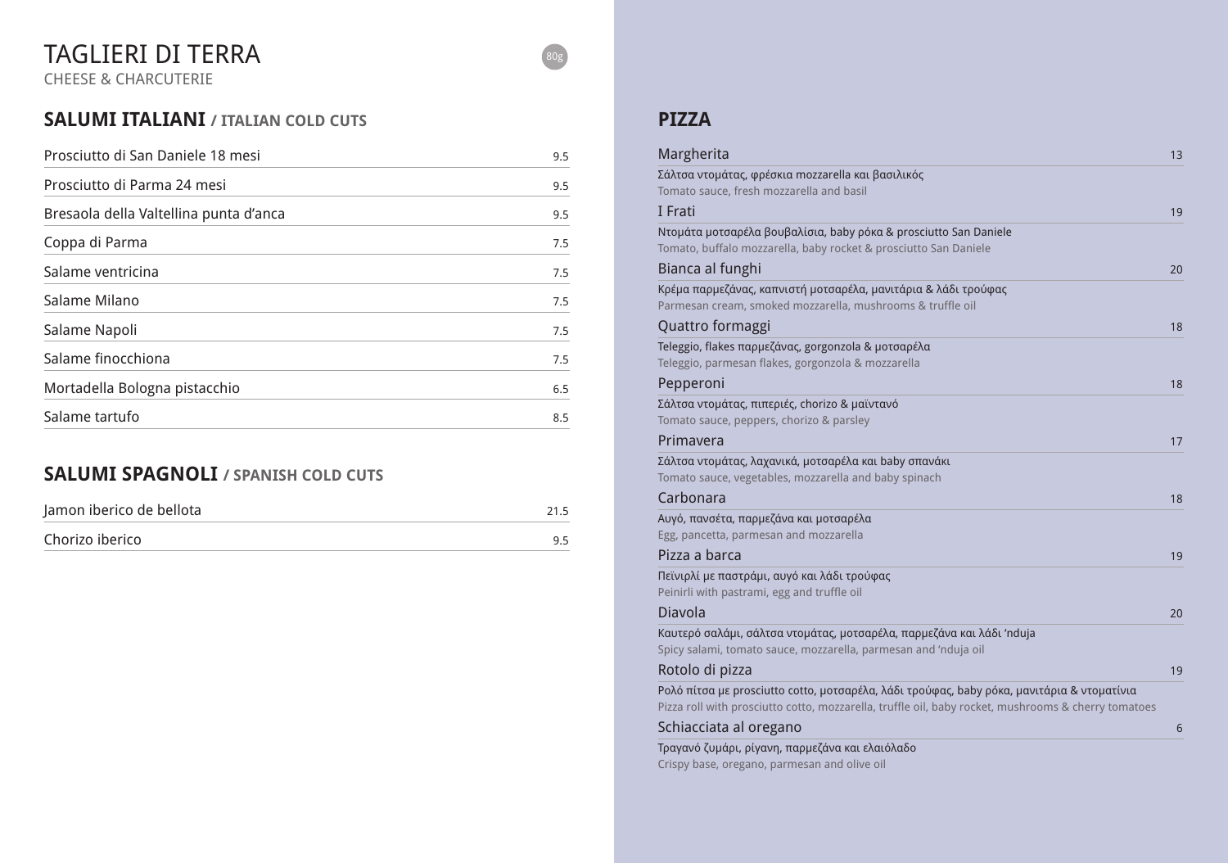### **SALUMI ITALIANI / ITALIAN COLD CUTS**

| Prosciutto di San Daniele 18 mesi      | 9.5 |
|----------------------------------------|-----|
| Prosciutto di Parma 24 mesi            | 9.5 |
| Bresaola della Valtellina punta d'anca | 9.5 |
| Coppa di Parma                         | 7.5 |
| Salame ventricina                      | 7.5 |
| Salame Milano                          | 7.5 |
| Salame Napoli                          | 7.5 |
| Salame finocchiona                     | 7.5 |
| Mortadella Bologna pistacchio          | 6.5 |
| Salame tartufo                         | 8.5 |

### **SALUMI SPAGNOLI / SPANISH COLD CUTS**

| Jamon iberico de bellota |    |
|--------------------------|----|
| Chorizo iberico          | Q5 |

# TAGLIERI DI TERRA

CHEESE & CHARCUTERIE

80g

### Margherita **13** and 13 and 13 and 13 and 13 and 13 and 13 and 13 and 13 and 13 and 13 and 13 and 13 and 13 and 13 and 13 and 13 and 13 and 13 and 13 and 13 and 13 and 13 and 13 and 13 and 13 and 13 and 13 and 13 and 13 and

### **PIZZA**

#### Bianca al funghi

#### Quattro formaggi

#### Pepperoni

### Rotolo di pizza

| Σάλτσα ντομάτας, φρέσκια mozzarella και βασιλικός                                                                                                                                                 |    |
|---------------------------------------------------------------------------------------------------------------------------------------------------------------------------------------------------|----|
| Tomato sauce, fresh mozzarella and basil                                                                                                                                                          |    |
| I Frati                                                                                                                                                                                           | 19 |
| Ντομάτα μοτσαρέλα βουβαλίσια, baby ρόκα & prosciutto San Daniele<br>Tomato, buffalo mozzarella, baby rocket & prosciutto San Daniele                                                              |    |
| Bianca al funghi                                                                                                                                                                                  | 20 |
| Κρέμα παρμεζάνας, καπνιστή μοτσαρέλα, μανιτάρια & λάδι τρούφας<br>Parmesan cream, smoked mozzarella, mushrooms & truffle oil                                                                      |    |
| Quattro formaggi                                                                                                                                                                                  | 18 |
| Teleggio, flakes παρμεζάνας, gorgonzola & μοτσαρέλα<br>Teleggio, parmesan flakes, gorgonzola & mozzarella                                                                                         |    |
| Pepperoni                                                                                                                                                                                         | 18 |
| Σάλτσα ντομάτας, πιπεριές, chorizo & μαϊντανό<br>Tomato sauce, peppers, chorizo & parsley                                                                                                         |    |
| Primavera                                                                                                                                                                                         | 17 |
| Σάλτσα ντομάτας, λαχανικά, μοτσαρέλα και baby σπανάκι                                                                                                                                             |    |
| Tomato sauce, vegetables, mozzarella and baby spinach                                                                                                                                             |    |
| Carbonara                                                                                                                                                                                         | 18 |
| Αυγό, πανσέτα, παρμεζάνα και μοτσαρέλα                                                                                                                                                            |    |
| Egg, pancetta, parmesan and mozzarella                                                                                                                                                            |    |
| Pizza a barca                                                                                                                                                                                     | 19 |
| Πεϊνιρλί με παστράμι, αυγό και λάδι τρούφας                                                                                                                                                       |    |
| Peinirli with pastrami, egg and truffle oil                                                                                                                                                       |    |
| Diavola                                                                                                                                                                                           | 20 |
| Καυτερό σαλάμι, σάλτσα ντομάτας, μοτσαρέλα, παρμεζάνα και λάδι 'nduja                                                                                                                             |    |
| Spicy salami, tomato sauce, mozzarella, parmesan and 'nduja oil                                                                                                                                   |    |
| Rotolo di pizza                                                                                                                                                                                   | 19 |
| Poλό πίτσα με prosciutto cotto, μοτσαρέλα, λάδι τρούφας, baby ρόκα, μανιτάρια & ντοματίνια<br>Pizza roll with prosciutto cotto, mozzarella, truffle oil, baby rocket, mushrooms & cherry tomatoes |    |
| Schiacciata al oregano                                                                                                                                                                            | 6  |
|                                                                                                                                                                                                   |    |

### Primavera

### **Carbonara**

#### Pizza a barca

### Schiacciata al oregano 6

Τραγανό ζυμάρι, ρίγανη, παρμεζάνα και ελαιόλαδο Crispy base, oregano, parmesan and olive oil